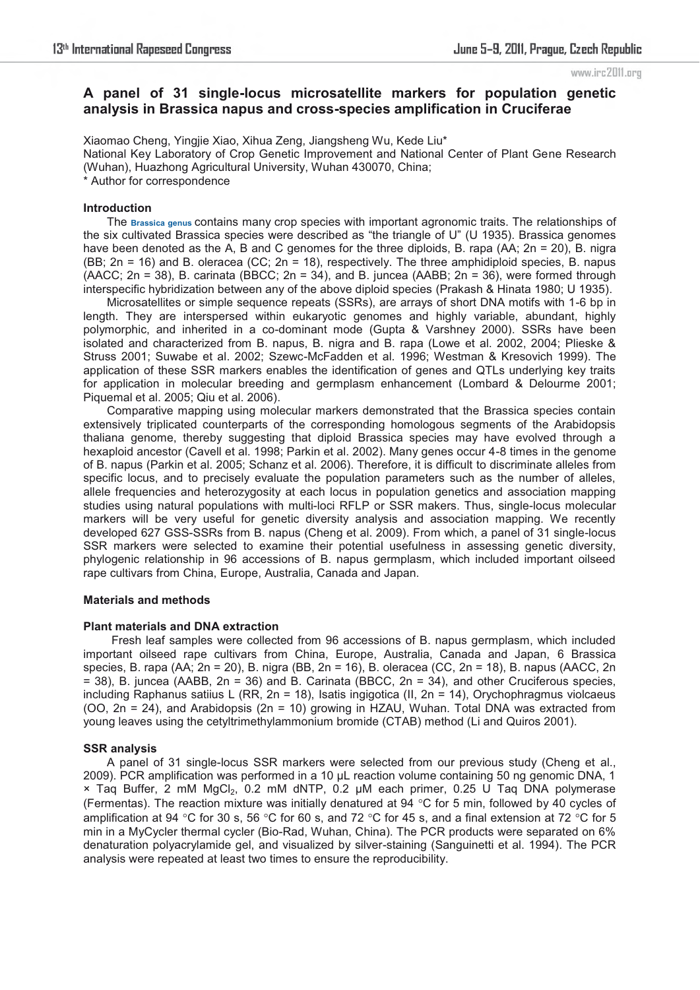# **A panel of 31 single-locus microsatellite markers for population genetic analysis in Brassica napus and cross-species amplification in Cruciferae**

Xiaomao Cheng, Yingjie Xiao, Xihua Zeng, Jiangsheng Wu, Kede Liu\* National Key Laboratory of Crop Genetic Improvement and National Center of Plant Gene Research (Wuhan), Huazhong Agricultural University, Wuhan 430070, China; \* Author for correspondence

## **Introduction**

The **Brassica genus** contains many crop species with important agronomic traits. The relationships of the six cultivated Brassica species were described as "the triangle of U" (U 1935). Brassica genomes have been denoted as the A, B and C genomes for the three diploids, B. rapa (AA; 2n = 20), B. nigra (BB; 2n = 16) and B. oleracea (CC; 2n = 18), respectively. The three amphidiploid species, B. napus  $(AACC; 2n = 38)$ , B. carinata (BBCC;  $2n = 34$ ), and B. juncea (AABB;  $2n = 36$ ), were formed through interspecific hybridization between any of the above diploid species (Prakash & Hinata 1980; U 1935).

Microsatellites or simple sequence repeats (SSRs), are arrays of short DNA motifs with 1-6 bp in length. They are interspersed within eukaryotic genomes and highly variable, abundant, highly polymorphic, and inherited in a co-dominant mode (Gupta & Varshney 2000). SSRs have been isolated and characterized from B. napus, B. nigra and B. rapa (Lowe et al. 2002, 2004; Plieske & Struss 2001; Suwabe et al. 2002; Szewc-McFadden et al. 1996; Westman & Kresovich 1999). The application of these SSR markers enables the identification of genes and QTLs underlying key traits for application in molecular breeding and germplasm enhancement (Lombard & Delourme 2001; Piquemal et al. 2005; Qiu et al. 2006).

Comparative mapping using molecular markers demonstrated that the Brassica species contain extensively triplicated counterparts of the corresponding homologous segments of the Arabidopsis thaliana genome, thereby suggesting that diploid Brassica species may have evolved through a hexaploid ancestor (Cavell et al. 1998; Parkin et al. 2002). Many genes occur 4-8 times in the genome of B. napus (Parkin et al. 2005; Schanz et al. 2006). Therefore, it is difficult to discriminate alleles from specific locus, and to precisely evaluate the population parameters such as the number of alleles, allele frequencies and heterozygosity at each locus in population genetics and association mapping studies using natural populations with multi-loci RFLP or SSR makers. Thus, single-locus molecular markers will be very useful for genetic diversity analysis and association mapping. We recently developed 627 GSS-SSRs from B. napus (Cheng et al. 2009). From which, a panel of 31 single-locus SSR markers were selected to examine their potential usefulness in assessing genetic diversity, phylogenic relationship in 96 accessions of B. napus germplasm, which included important oilseed rape cultivars from China, Europe, Australia, Canada and Japan.

## **Materials and methods**

## **Plant materials and DNA extraction**

Fresh leaf samples were collected from 96 accessions of B. napus germplasm, which included important oilseed rape cultivars from China, Europe, Australia, Canada and Japan, 6 Brassica species, B. rapa (AA; 2n = 20), B. nigra (BB, 2n = 16), B. oleracea (CC, 2n = 18), B. napus (AACC, 2n  $= 38$ ), B. juncea (AABB, 2n = 36) and B. Carinata (BBCC, 2n = 34), and other Cruciferous species, including Raphanus satiius L (RR, 2n = 18), Isatis ingigotica (II, 2n = 14), Orychophragmus violcaeus (OO, 2n = 24), and Arabidopsis (2n = 10) growing in HZAU, Wuhan. Total DNA was extracted from young leaves using the cetyltrimethylammonium bromide (CTAB) method (Li and Quiros 2001).

## **SSR analysis**

A panel of 31 single-locus SSR markers were selected from our previous study (Cheng et al., 2009). PCR amplification was performed in a 10 μL reaction volume containing 50 ng genomic DNA, 1  $\times$  Taq Buffer, 2 mM MgCl<sub>2</sub>, 0.2 mM dNTP, 0.2  $\mu$ M each primer, 0.25 U Taq DNA polymerase (Fermentas). The reaction mixture was initially denatured at 94  $\degree$ C for 5 min, followed by 40 cycles of amplification at 94 °C for 30 s, 56 °C for 60 s, and 72 °C for 45 s, and a final extension at 72 °C for 5 min in a MyCycler thermal cycler (Bio-Rad, Wuhan, China). The PCR products were separated on 6% denaturation polyacrylamide gel, and visualized by silver-staining (Sanguinetti et al. 1994). The PCR analysis were repeated at least two times to ensure the reproducibility.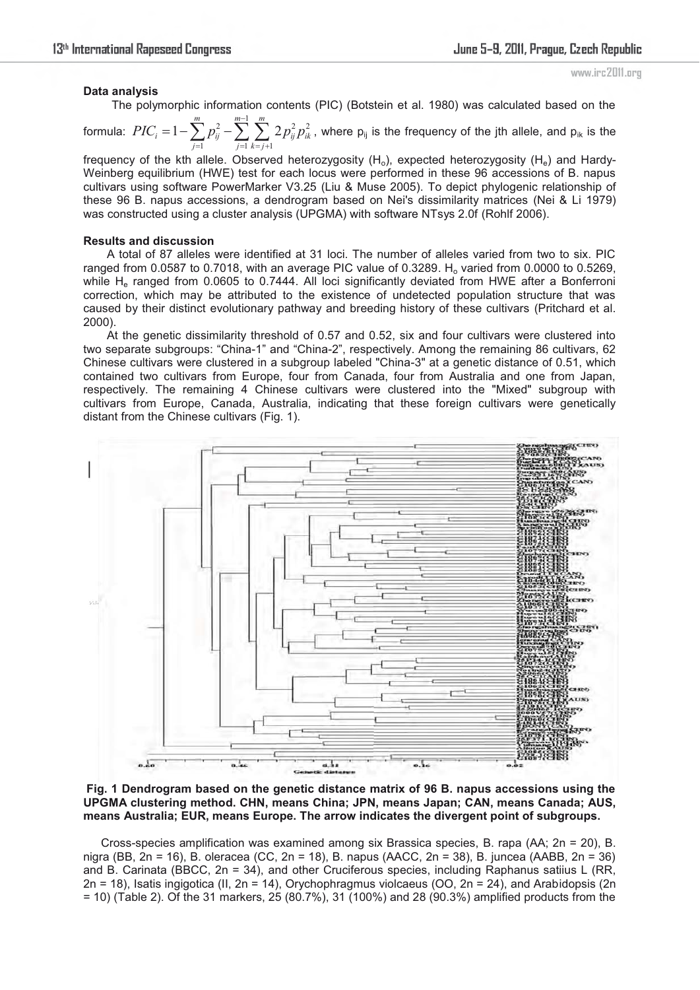#### **Data analysis**

The polymorphic information contents (PIC) (Botstein et al. 1980) was calculated based on the

formula: 2  $\sum_{m=1}^{m-1} \sum_{m=1}^{m} 2^{m}$  $\overline{i}$   $\overline{i}$   $\overline{j}$   $\overline{k}$   $\overline{i}$   $\overline{i}$  $1-\sum_{m=1}^{m} p_{m}^{2}-\sum_{m=1}^{m-1} \sum_{m=1}^{m} 2$  $i = 1 - \sum P_{ii} - \sum$ ,  $\sum P_{ii} P_{ik}$  $\overline{i=1}$   $\overline{i=1}$   $\overline{k=i}$ *PIC*  $= 1 - \sum_{m=0}^{m} p_m^2 - \sum_{m=0}^{m-1} \sum_{m=0}^{m} 2p_m^2 p_m^2$  $\overline{1}$   $\overline{i}$   $\overline{i}$   $\overline{k}$   $\overline{i}$   $\overline{i}$  $\mu = 1 - \sum_{i=1}^{m} p_{ii}^2 - \sum_{i=1}^{m-1} \sum_{j=1}^{m} 2 p_{ii}^2 p_{ik}^2$  , where  $\mathsf{p}_{ij}$  is the frequency of the jth allele, and  $\mathsf{p}_{ik}$  is the

frequency of the kth allele. Observed heterozygosity  $(H_0)$ , expected heterozygosity  $(H_e)$  and Hardy-Weinberg equilibrium (HWE) test for each locus were performed in these 96 accessions of B. napus cultivars using software PowerMarker V3.25 (Liu & Muse 2005). To depict phylogenic relationship of these 96 B. napus accessions, a dendrogram based on Nei's dissimilarity matrices (Nei & Li 1979) was constructed using a cluster analysis (UPGMA) with software NTsys 2.0f (Rohlf 2006).

## **Results and discussion**

A total of 87 alleles were identified at 31 loci. The number of alleles varied from two to six. PIC ranged from 0.0587 to 0.7018, with an average PIC value of 0.3289.  $H_0$  varied from 0.0000 to 0.5269, while H<sub>e</sub> ranged from 0.0605 to 0.7444. All loci significantly deviated from HWE after a Bonferroni correction, which may be attributed to the existence of undetected population structure that was caused by their distinct evolutionary pathway and breeding history of these cultivars (Pritchard et al. 2000).

At the genetic dissimilarity threshold of 0.57 and 0.52, six and four cultivars were clustered into two separate subgroups: "China-1" and "China-2", respectively. Among the remaining 86 cultivars, 62 Chinese cultivars were clustered in a subgroup labeled "China-3" at a genetic distance of 0.51, which contained two cultivars from Europe, four from Canada, four from Australia and one from Japan, respectively. The remaining 4 Chinese cultivars were clustered into the "Mixed" subgroup with cultivars from Europe, Canada, Australia, indicating that these foreign cultivars were genetically distant from the Chinese cultivars (Fig. 1).



**Fig. 1 Dendrogram based on the genetic distance matrix of 96 B. napus accessions using the UPGMA clustering method. CHN, means China; JPN, means Japan; CAN, means Canada; AUS, means Australia; EUR, means Europe. The arrow indicates the divergent point of subgroups.** 

Cross-species amplification was examined among six Brassica species, B. rapa (AA; 2n = 20), B. nigra (BB, 2n = 16), B. oleracea (CC, 2n = 18), B. napus (AACC, 2n = 38), B. juncea (AABB, 2n = 36) and B. Carinata (BBCC, 2n = 34), and other Cruciferous species, including Raphanus satiius L (RR, 2n = 18), Isatis ingigotica (II, 2n = 14), Orychophragmus violcaeus (OO, 2n = 24), and Arabidopsis (2n = 10) (Table 2). Of the 31 markers, 25 (80.7%), 31 (100%) and 28 (90.3%) amplified products from the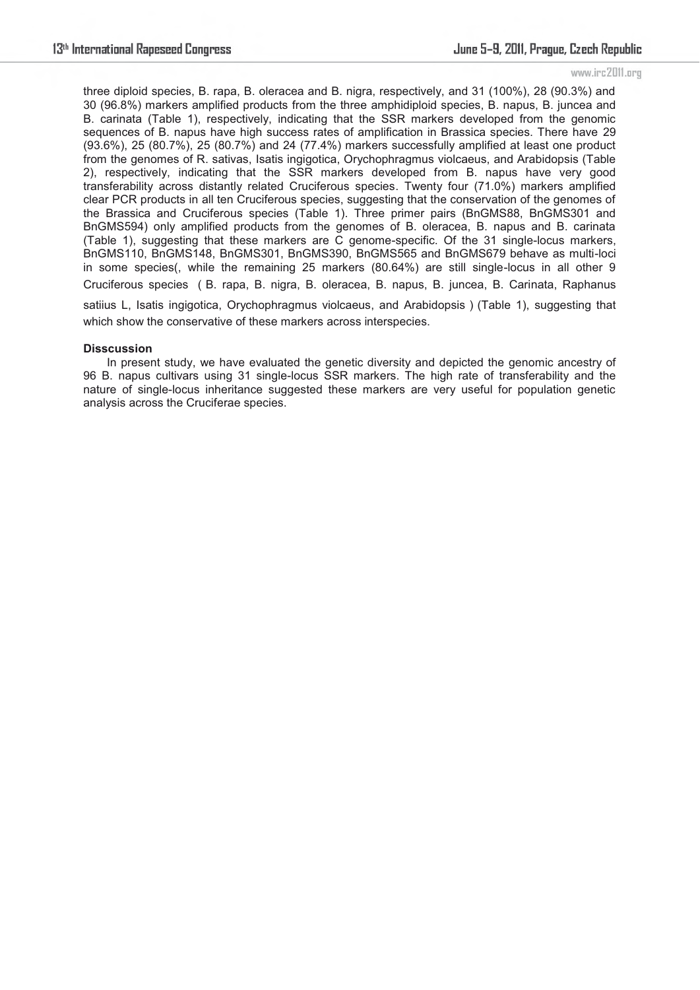three diploid species, B. rapa, B. oleracea and B. nigra, respectively, and 31 (100%), 28 (90.3%) and 30 (96.8%) markers amplified products from the three amphidiploid species, B. napus, B. juncea and B. carinata (Table 1), respectively, indicating that the SSR markers developed from the genomic sequences of B. napus have high success rates of amplification in Brassica species. There have 29 (93.6%), 25 (80.7%), 25 (80.7%) and 24 (77.4%) markers successfully amplified at least one product from the genomes of R. sativas, Isatis ingigotica, Orychophragmus violcaeus, and Arabidopsis (Table 2), respectively, indicating that the SSR markers developed from B. napus have very good transferability across distantly related Cruciferous species. Twenty four (71.0%) markers amplified clear PCR products in all ten Cruciferous species, suggesting that the conservation of the genomes of the Brassica and Cruciferous species (Table 1). Three primer pairs (BnGMS88, BnGMS301 and BnGMS594) only amplified products from the genomes of B. oleracea, B. napus and B. carinata (Table 1), suggesting that these markers are C genome-specific. Of the 31 single-locus markers, BnGMS110, BnGMS148, BnGMS301, BnGMS390, BnGMS565 and BnGMS679 behave as multi-loci in some species(, while the remaining 25 markers (80.64%) are still single-locus in all other 9 Cruciferous species ᧤B. rapa, B. nigra, B. oleracea, B. napus, B. juncea, B. Carinata, Raphanus satiius L, Isatis ingigotica, Orychophragmus violcaeus, and Arabidopsis) (Table 1), suggesting that which show the conservative of these markers across interspecies.

# **Disscussion**

In present study, we have evaluated the genetic diversity and depicted the genomic ancestry of 96 B. napus cultivars using 31 single-locus SSR markers. The high rate of transferability and the nature of single-locus inheritance suggested these markers are very useful for population genetic analysis across the Cruciferae species.